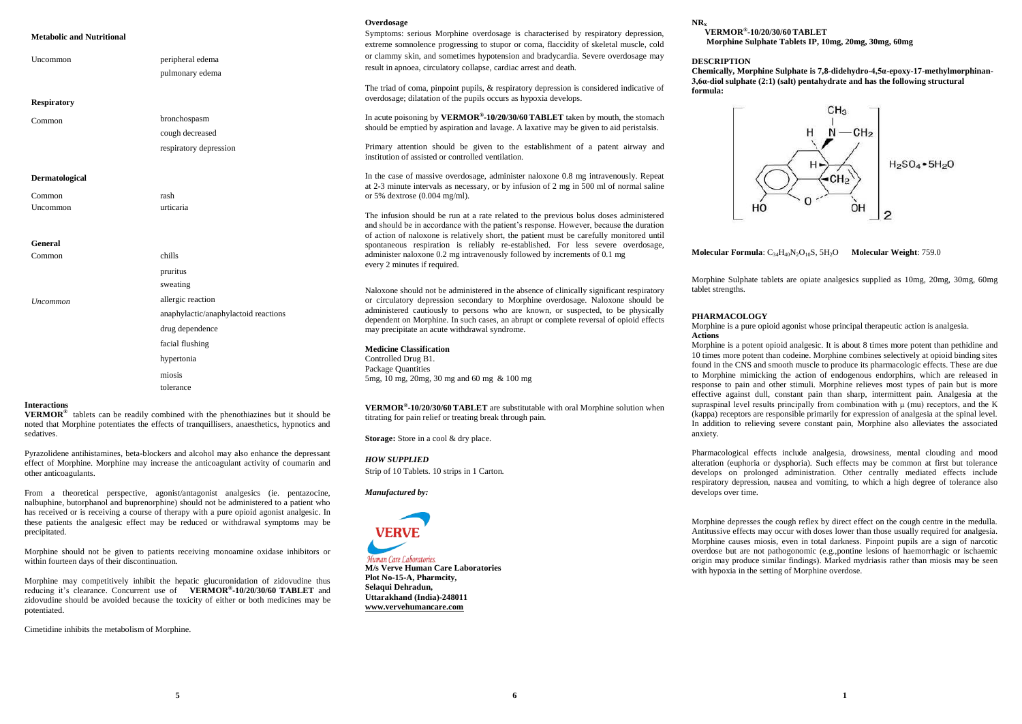## **Metabolic and Nutritional**

| Uncommon                 | peripheral edema<br>pulmonary edema                                                      | or cl<br>resul                      |
|--------------------------|------------------------------------------------------------------------------------------|-------------------------------------|
| <b>Respiratory</b>       |                                                                                          | The<br>over                         |
| Common                   | bronchospasm<br>cough decreased<br>respiratory depression                                | In ac<br>shou<br>Prim<br>instit     |
| Dermatological<br>Common | rash                                                                                     | In th<br>at $2-$<br>or 59           |
| Uncommon                 | urticaria                                                                                | The<br>and s<br>of ac               |
| <b>General</b>           |                                                                                          | spon                                |
| Common                   | chills<br>pruritus                                                                       | admi<br>ever                        |
| Uncommon                 | sweating<br>allergic reaction<br>anaphylactic/anaphylactoid reactions<br>drug dependence | Nalo<br>or c<br>admi<br>depe<br>may |
|                          | facial flushing<br>hypertonia                                                            | Med<br>Cont<br>Pack                 |
|                          | miosis<br>tolerance                                                                      | 5 <sub>mg</sub>                     |

#### **Interactions**

**VERMOR®** tablets can be readily combined with the phenothiazines but it should be noted that Morphine potentiates the effects of tranquillisers, anaesthetics, hypnotics and sedatives.

Pyrazolidene antihistamines, beta-blockers and alcohol may also enhance the depressant effect of Morphine. Morphine may increase the anticoagulant activity of coumarin and other anticoagulants.

From a theoretical perspective, agonist/antagonist analgesics (ie. pentazocine, nalbuphine, butorphanol and buprenorphine) should not be administered to a patient who has received or is receiving a course of therapy with a pure opioid agonist analgesic. In these patients the analgesic effect may be reduced or withdrawal symptoms may be precipitated.

Morphine should not be given to patients receiving monoamine oxidase inhibitors or within fourteen days of their discontinuation.

Morphine may competitively inhibit the hepatic glucuronidation of zidovudine thus reducing it's clearance. Concurrent use of **VERMOR® -10/20/30/60 TABLET** and zidovudine should be avoided because the toxicity of either or both medicines may be potentiated.

Cimetidine inhibits the metabolism of Morphine.

#### **Overdosage**

Symptoms: serious Morphine overdosage is characterised by respiratory depression, extreme somnolence progressing to stupor or coma, flaccidity of skeletal muscle, cold lammy skin, and sometimes hypotension and bradycardia. Severe overdosage may It in apnoea, circulatory collapse, cardiac arrest and death.

triad of coma, pinpoint pupils,  $\&$  respiratory depression is considered indicative of dosage; dilatation of the pupils occurs as hypoxia develops.

In acute poisoning by **VERMOR® -10/20/30/60 TABLET** taken by mouth, the stomach ald be emptied by aspiration and lavage. A laxative may be given to aid peristalsis.

ary attention should be given to the establishment of a patent airway and tution of assisted or controlled ventilation.

ne case of massive overdosage, administer naloxone 0.8 mg intravenously. Repeat -3 minute intervals as necessary, or by infusion of 2 mg in 500 ml of normal saline % dextrose  $(0.004 \text{ mg/ml})$ .

infusion should be run at a rate related to the previous bolus doses administered should be in accordance with the patient's response. However, because the duration of action of naloxone is relatively short, the patient must be carefully monitored until spontaneous respiration is reliably re-established. For less severe overdosage, inister naloxone  $0.2$  mg intravenously followed by increments of  $0.1$  mg v 2 minutes if required.

Income should not be administered in the absence of clinically significant respiratory irculatory depression secondary to Morphine overdosage. Naloxone should be inistered cautiously to persons who are known, or suspected, to be physically endent on Morphine. In such cases, an abrupt or complete reversal of opioid effects precipitate an acute withdrawal syndrome.

### **Medicine Classification** trolled Drug B1. cage Quantities  $510$  mg, 20mg, 30 mg and 60 mg & 100 mg

**VERMOR® -10/20/30/60 TABLET** are substitutable with oral Morphine solution when titrating for pain relief or treating break through pain.

**Storage:** Store in a cool & dry place.

*HOW SUPPLIED*  Strip of 10 Tablets. 10 strips in 1 Carton.

*Manufactured by:*



**M/s Verve Human Care Laboratories Plot No-15-A, Pharmcity, Selaqui Dehradun, Uttarakhand (India)-248011 www.vervehumancare.com**

### **NR<sup>x</sup>**

### **VERMOR® -10/20/30/60 TABLET Morphine Sulphate Tablets IP, 10mg, 20mg, 30mg, 60mg**

### **DESCRIPTION**

**Chemically, Morphine Sulphate is 7,8-didehydro-4,5α-epoxy-17-methylmorphinan-3,6α-diol sulphate (2:1) (salt) pentahydrate and has the following structural formula:**



**Molecular Formula**: C<sub>34</sub>H<sub>40</sub>N<sub>2</sub>O<sub>10</sub>S, 5H<sub>2</sub>O **Molecular Weight**: 759.0

Morphine Sulphate tablets are opiate analgesics supplied as 10mg, 20mg, 30mg, 60mg tablet strengths.

### **PHARMACOLOGY**

Morphine is a pure opioid agonist whose principal therapeutic action is analgesia. **Actions**

Morphine is a potent opioid analgesic. It is about 8 times more potent than pethidine and 10 times more potent than codeine. Morphine combines selectively at opioid binding sites found in the CNS and smooth muscle to produce its pharmacologic effects. These are due to Morphine mimicking the action of endogenous endorphins, which are released in response to pain and other stimuli. Morphine relieves most types of pain but is more effective against dull, constant pain than sharp, intermittent pain. Analgesia at the supraspinal level results principally from combination with  $\mu$  (mu) receptors, and the K (kappa) receptors are responsible primarily for expression of analgesia at the spinal level. In addition to relieving severe constant pain, Morphine also alleviates the associated anxiety.

Pharmacological effects include analgesia, drowsiness, mental clouding and mood alteration (euphoria or dysphoria). Such effects may be common at first but tolerance develops on prolonged administration. Other centrally mediated effects include respiratory depression, nausea and vomiting, to which a high degree of tolerance also develops over time.

Morphine depresses the cough reflex by direct effect on the cough centre in the medulla. Antitussive effects may occur with doses lower than those usually required for analgesia. Morphine causes miosis, even in total darkness. Pinpoint pupils are a sign of narcotic overdose but are not pathogonomic (e.g.,pontine lesions of haemorrhagic or ischaemic origin may produce similar findings). Marked mydriasis rather than miosis may be seen with hypoxia in the setting of Morphine overdose.